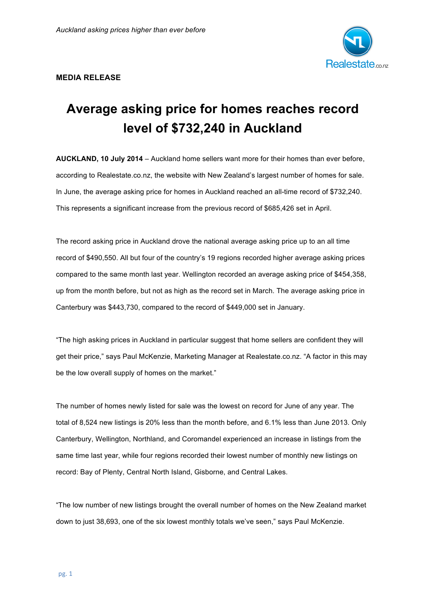

## **MEDIA RELEASE**

## **Average asking price for homes reaches record level of \$732,240 in Auckland**

**AUCKLAND, 10 July 2014** – Auckland home sellers want more for their homes than ever before, according to Realestate.co.nz, the website with New Zealand's largest number of homes for sale. In June, the average asking price for homes in Auckland reached an all-time record of \$732,240. This represents a significant increase from the previous record of \$685,426 set in April.

The record asking price in Auckland drove the national average asking price up to an all time record of \$490,550. All but four of the country's 19 regions recorded higher average asking prices compared to the same month last year. Wellington recorded an average asking price of \$454,358, up from the month before, but not as high as the record set in March. The average asking price in Canterbury was \$443,730, compared to the record of \$449,000 set in January.

"The high asking prices in Auckland in particular suggest that home sellers are confident they will get their price," says Paul McKenzie, Marketing Manager at Realestate.co.nz. "A factor in this may be the low overall supply of homes on the market."

The number of homes newly listed for sale was the lowest on record for June of any year. The total of 8,524 new listings is 20% less than the month before, and 6.1% less than June 2013. Only Canterbury, Wellington, Northland, and Coromandel experienced an increase in listings from the same time last year, while four regions recorded their lowest number of monthly new listings on record: Bay of Plenty, Central North Island, Gisborne, and Central Lakes.

"The low number of new listings brought the overall number of homes on the New Zealand market down to just 38,693, one of the six lowest monthly totals we've seen," says Paul McKenzie.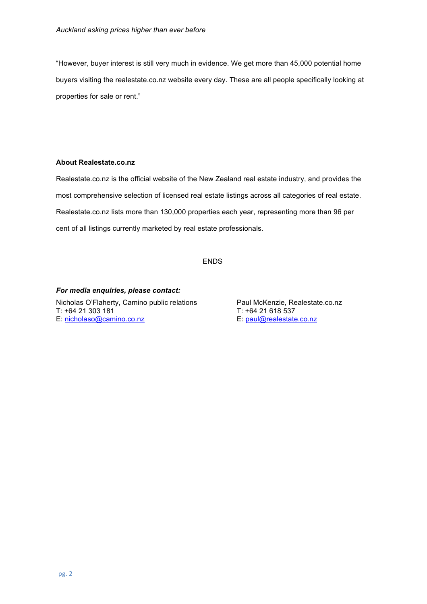"However, buyer interest is still very much in evidence. We get more than 45,000 potential home buyers visiting the realestate.co.nz website every day. These are all people specifically looking at properties for sale or rent."

## **About Realestate.co.nz**

Realestate.co.nz is the official website of the New Zealand real estate industry, and provides the most comprehensive selection of licensed real estate listings across all categories of real estate. Realestate.co.nz lists more than 130,000 properties each year, representing more than 96 per cent of all listings currently marketed by real estate professionals.

ENDS

*For media enquiries, please contact:* Nicholas O'Flaherty, Camino public relations Paul McKenzie, Realestate.co.nz T: +64 21 303 181<br>
E: nicholaso@camino.co.nz<br>
E: paul@realestate.co.nz E: nicholaso@camino.co.nz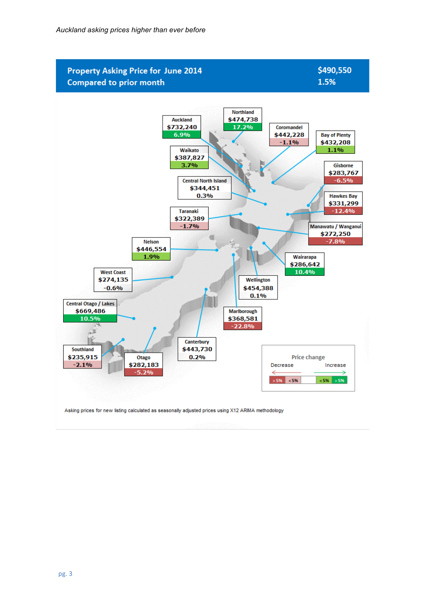

Asking prices for new listing calculated as seasonally adjusted prices using X12 ARIMA methodology